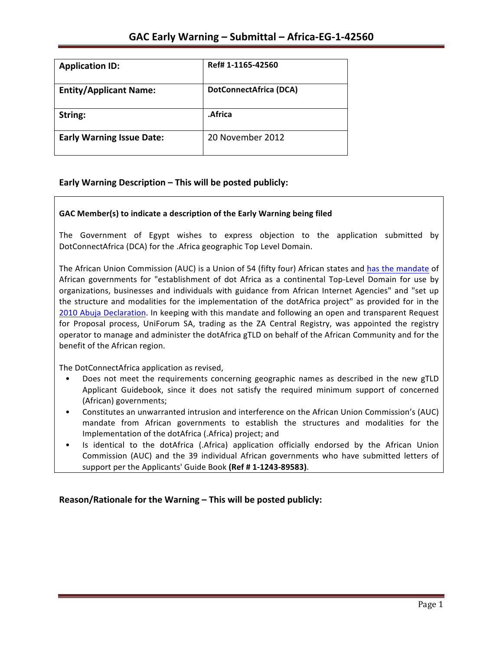| <b>Application ID:</b>           | Ref# 1-1165-42560             |
|----------------------------------|-------------------------------|
| <b>Entity/Applicant Name:</b>    | <b>DotConnectAfrica (DCA)</b> |
| String:                          | .Africa                       |
| <b>Early Warning Issue Date:</b> | 20 November 2012              |

## **Early Warning Description – This will be posted publicly:**

#### GAC Member(s) to indicate a description of the Early Warning being filed

The Government of Egypt wishes to express objection to the application submitted by DotConnectAfrica (DCA) for the .Africa geographic Top Level Domain.

The African Union Commission (AUC) is a Union of 54 (fifty four) African states and has the mandate of African governments for "establishment of dot Africa as a continental Top-Level Domain for use by organizations, businesses and individuals with guidance from African Internet Agencies" and "set up the structure and modalities for the implementation of the dotAfrica project" as provided for in the 2010 Abuja Declaration. In keeping with this mandate and following an open and transparent Request for Proposal process, UniForum SA, trading as the ZA Central Registry, was appointed the registry operator to manage and administer the dotAfrica gTLD on behalf of the African Community and for the benefit of the African region.

The DotConnectAfrica application as revised,

- Does not meet the requirements concerning geographic names as described in the new gTLD Applicant Guidebook, since it does not satisfy the required minimum support of concerned (African) governments;
- Constitutes an unwarranted intrusion and interference on the African Union Commission's (AUC) mandate from African governments to establish the structures and modalities for the Implementation of the dotAfrica (.Africa) project; and
- Is identical to the dotAfrica (.Africa) application officially endorsed by the African Union Commission (AUC) and the 39 individual African governments who have submitted letters of support per the Applicants' Guide Book (Ref # 1-1243-89583).

**Reason/Rationale for the Warning – This will be posted publicly:**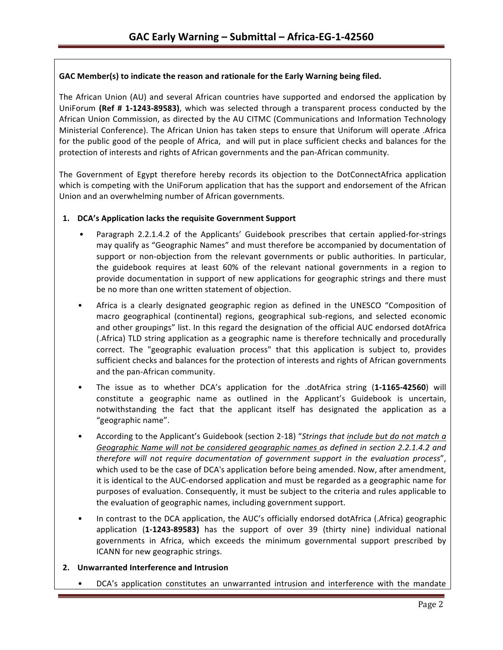### GAC Member(s) to indicate the reason and rationale for the Early Warning being filed.

The African Union (AU) and several African countries have supported and endorsed the application by UniForum (Ref # 1-1243-89583), which was selected through a transparent process conducted by the African Union Commission, as directed by the AU CITMC (Communications and Information Technology Ministerial Conference). The African Union has taken steps to ensure that Uniforum will operate .Africa for the public good of the people of Africa, and will put in place sufficient checks and balances for the protection of interests and rights of African governments and the pan-African community.

The Government of Egypt therefore hereby records its objection to the DotConnectAfrica application which is competing with the UniForum application that has the support and endorsement of the African Union and an overwhelming number of African governments.

#### 1. **DCA's Application lacks the requisite Government Support**

- Paragraph 2.2.1.4.2 of the Applicants' Guidebook prescribes that certain applied-for-strings may qualify as "Geographic Names" and must therefore be accompanied by documentation of support or non-objection from the relevant governments or public authorities. In particular, the guidebook requires at least 60% of the relevant national governments in a region to provide documentation in support of new applications for geographic strings and there must be no more than one written statement of objection.
- Africa is a clearly designated geographic region as defined in the UNESCO "Composition of macro geographical (continental) regions, geographical sub-regions, and selected economic and other groupings" list. In this regard the designation of the official AUC endorsed dotAfrica (.Africa) TLD string application as a geographic name is therefore technically and procedurally correct. The "geographic evaluation process" that this application is subject to, provides sufficient checks and balances for the protection of interests and rights of African governments and the pan-African community.
- The issue as to whether DCA's application for the .dotAfrica string (1-1165-42560) will constitute a geographic name as outlined in the Applicant's Guidebook is uncertain, notwithstanding the fact that the applicant itself has designated the application as a "geographic name".
- According to the Applicant's Guidebook (section 2-18) "Strings that *include but do not match a* Geographic Name will not be considered geographic names as defined in section 2.2.1.4.2 and *therefore will not require documentation of government support in the evaluation process"*, which used to be the case of DCA's application before being amended. Now, after amendment, it is identical to the AUC-endorsed application and must be regarded as a geographic name for purposes of evaluation. Consequently, it must be subject to the criteria and rules applicable to the evaluation of geographic names, including government support.
- In contrast to the DCA application, the AUC's officially endorsed dotAfrica (.Africa) geographic application (1-1243-89583) has the support of over 39 (thirty nine) individual national governments in Africa, which exceeds the minimum governmental support prescribed by ICANN for new geographic strings.

#### **2. Unwarranted Interference and Intrusion**

DCA's application constitutes an unwarranted intrusion and interference with the mandate